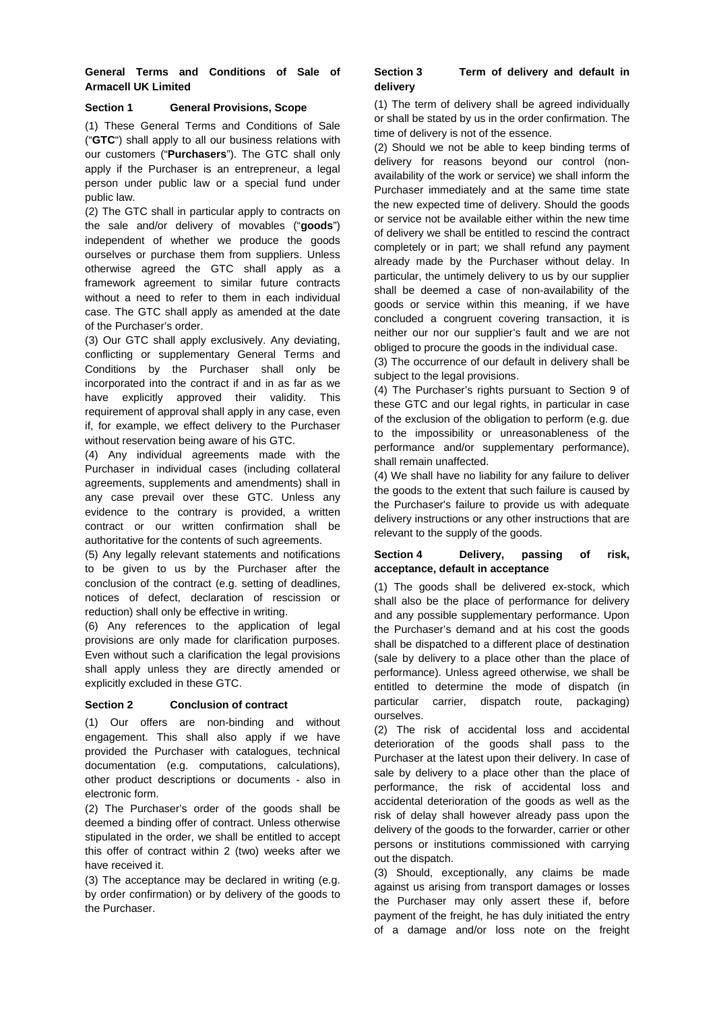# **General Terms and Conditions of Sale of Armacell UK Limited**

### **Section 1 General Provisions, Scope**

(1) These General Terms and Conditions of Sale ("**GTC**") shall apply to all our business relations with our customers ("**Purchasers**"). The GTC shall only apply if the Purchaser is an entrepreneur, a legal person under public law or a special fund under public law.

(2) The GTC shall in particular apply to contracts on the sale and/or delivery of movables ("**goods**") independent of whether we produce the goods ourselves or purchase them from suppliers. Unless otherwise agreed the GTC shall apply as a framework agreement to similar future contracts without a need to refer to them in each individual case. The GTC shall apply as amended at the date of the Purchaser's order.

(3) Our GTC shall apply exclusively. Any deviating, conflicting or supplementary General Terms and Conditions by the Purchaser shall only be incorporated into the contract if and in as far as we have explicitly approved their validity. This requirement of approval shall apply in any case, even if, for example, we effect delivery to the Purchaser without reservation being aware of his GTC.

(4) Any individual agreements made with the Purchaser in individual cases (including collateral agreements, supplements and amendments) shall in any case prevail over these GTC. Unless any evidence to the contrary is provided, a written contract or our written confirmation shall be authoritative for the contents of such agreements.

(5) Any legally relevant statements and notifications to be given to us by the Purchaser after the conclusion of the contract (e.g. setting of deadlines, notices of defect, declaration of rescission or reduction) shall only be effective in writing.

(6) Any references to the application of legal provisions are only made for clarification purposes. Even without such a clarification the legal provisions shall apply unless they are directly amended or explicitly excluded in these GTC.

## **Section 2 Conclusion of contract**

(1) Our offers are non-binding and without engagement. This shall also apply if we have provided the Purchaser with catalogues, technical documentation (e.g. computations, calculations), other product descriptions or documents - also in electronic form.

(2) The Purchaser's order of the goods shall be deemed a binding offer of contract. Unless otherwise stipulated in the order, we shall be entitled to accept this offer of contract within 2 (two) weeks after we have received it.

(3) The acceptance may be declared in writing (e.g. by order confirmation) or by delivery of the goods to the Purchaser.

### **Section 3 Term of delivery and default in delivery**

(1) The term of delivery shall be agreed individually or shall be stated by us in the order confirmation. The time of delivery is not of the essence.

(2) Should we not be able to keep binding terms of delivery for reasons beyond our control (nonavailability of the work or service) we shall inform the Purchaser immediately and at the same time state the new expected time of delivery. Should the goods or service not be available either within the new time of delivery we shall be entitled to rescind the contract completely or in part; we shall refund any payment already made by the Purchaser without delay. In particular, the untimely delivery to us by our supplier shall be deemed a case of non-availability of the goods or service within this meaning, if we have concluded a congruent covering transaction, it is neither our nor our supplier's fault and we are not obliged to procure the goods in the individual case.

(3) The occurrence of our default in delivery shall be subject to the legal provisions.

(4) The Purchaser's rights pursuant to Section 9 of these GTC and our legal rights, in particular in case of the exclusion of the obligation to perform (e.g. due to the impossibility or unreasonableness of the performance and/or supplementary performance), shall remain unaffected.

(4) We shall have no liability for any failure to deliver the goods to the extent that such failure is caused by the Purchaser's failure to provide us with adequate delivery instructions or any other instructions that are relevant to the supply of the goods.

## **Section 4 Delivery, passing of risk, acceptance, default in acceptance**

(1) The goods shall be delivered ex-stock, which shall also be the place of performance for delivery and any possible supplementary performance. Upon the Purchaser's demand and at his cost the goods shall be dispatched to a different place of destination (sale by delivery to a place other than the place of performance). Unless agreed otherwise, we shall be entitled to determine the mode of dispatch (in particular carrier, dispatch route, packaging) ourselves.

(2) The risk of accidental loss and accidental deterioration of the goods shall pass to the Purchaser at the latest upon their delivery. In case of sale by delivery to a place other than the place of performance, the risk of accidental loss and accidental deterioration of the goods as well as the risk of delay shall however already pass upon the delivery of the goods to the forwarder, carrier or other persons or institutions commissioned with carrying out the dispatch.

(3) Should, exceptionally, any claims be made against us arising from transport damages or losses the Purchaser may only assert these if, before payment of the freight, he has duly initiated the entry of a damage and/or loss note on the freight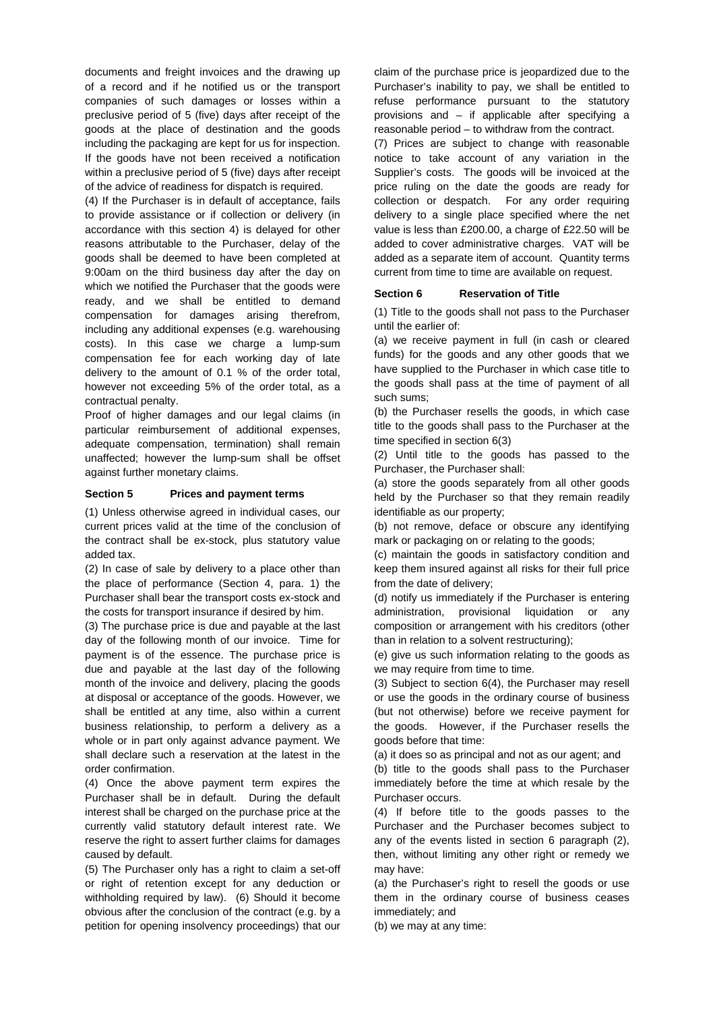documents and freight invoices and the drawing up of a record and if he notified us or the transport companies of such damages or losses within a preclusive period of 5 (five) days after receipt of the goods at the place of destination and the goods including the packaging are kept for us for inspection. If the goods have not been received a notification within a preclusive period of 5 (five) days after receipt of the advice of readiness for dispatch is required.

(4) If the Purchaser is in default of acceptance, fails to provide assistance or if collection or delivery (in accordance with this section 4) is delayed for other reasons attributable to the Purchaser, delay of the goods shall be deemed to have been completed at 9:00am on the third business day after the day on which we notified the Purchaser that the goods were ready, and we shall be entitled to demand compensation for damages arising therefrom, including any additional expenses (e.g. warehousing costs). In this case we charge a lump-sum compensation fee for each working day of late delivery to the amount of 0.1 % of the order total, however not exceeding 5% of the order total, as a contractual penalty.

Proof of higher damages and our legal claims (in particular reimbursement of additional expenses, adequate compensation, termination) shall remain unaffected; however the lump-sum shall be offset against further monetary claims.

#### **Section 5 Prices and payment terms**

(1) Unless otherwise agreed in individual cases, our current prices valid at the time of the conclusion of the contract shall be ex-stock, plus statutory value added tax.

(2) In case of sale by delivery to a place other than the place of performance (Section 4, para. 1) the Purchaser shall bear the transport costs ex-stock and the costs for transport insurance if desired by him.

(3) The purchase price is due and payable at the last day of the following month of our invoice. Time for payment is of the essence. The purchase price is due and payable at the last day of the following month of the invoice and delivery, placing the goods at disposal or acceptance of the goods. However, we shall be entitled at any time, also within a current business relationship, to perform a delivery as a whole or in part only against advance payment. We shall declare such a reservation at the latest in the order confirmation.

(4) Once the above payment term expires the Purchaser shall be in default. During the default interest shall be charged on the purchase price at the currently valid statutory default interest rate. We reserve the right to assert further claims for damages caused by default.

(5) The Purchaser only has a right to claim a set-off or right of retention except for any deduction or withholding required by law). (6) Should it become obvious after the conclusion of the contract (e.g. by a petition for opening insolvency proceedings) that our claim of the purchase price is jeopardized due to the Purchaser's inability to pay, we shall be entitled to refuse performance pursuant to the statutory provisions and – if applicable after specifying a reasonable period – to withdraw from the contract.

(7) Prices are subject to change with reasonable notice to take account of any variation in the Supplier's costs. The goods will be invoiced at the price ruling on the date the goods are ready for collection or despatch. For any order requiring delivery to a single place specified where the net value is less than £200.00, a charge of £22.50 will be added to cover administrative charges. VAT will be added as a separate item of account. Quantity terms current from time to time are available on request.

### **Section 6 Reservation of Title**

(1) Title to the goods shall not pass to the Purchaser until the earlier of:

(a) we receive payment in full (in cash or cleared funds) for the goods and any other goods that we have supplied to the Purchaser in which case title to the goods shall pass at the time of payment of all such sums;

(b) the Purchaser resells the goods, in which case title to the goods shall pass to the Purchaser at the time specified in section 6(3)

(2) Until title to the goods has passed to the Purchaser, the Purchaser shall:

(a) store the goods separately from all other goods held by the Purchaser so that they remain readily identifiable as our property;

(b) not remove, deface or obscure any identifying mark or packaging on or relating to the goods;

(c) maintain the goods in satisfactory condition and keep them insured against all risks for their full price from the date of delivery;

(d) notify us immediately if the Purchaser is entering administration, provisional liquidation or any composition or arrangement with his creditors (other than in relation to a solvent restructuring);

(e) give us such information relating to the goods as we may require from time to time.

(3) Subject to section 6(4), the Purchaser may resell or use the goods in the ordinary course of business (but not otherwise) before we receive payment for the goods. However, if the Purchaser resells the goods before that time:

(a) it does so as principal and not as our agent; and

(b) title to the goods shall pass to the Purchaser immediately before the time at which resale by the Purchaser occurs.

(4) If before title to the goods passes to the Purchaser and the Purchaser becomes subject to any of the events listed in section 6 paragraph (2), then, without limiting any other right or remedy we may have:

(a) the Purchaser's right to resell the goods or use them in the ordinary course of business ceases immediately; and

(b) we may at any time: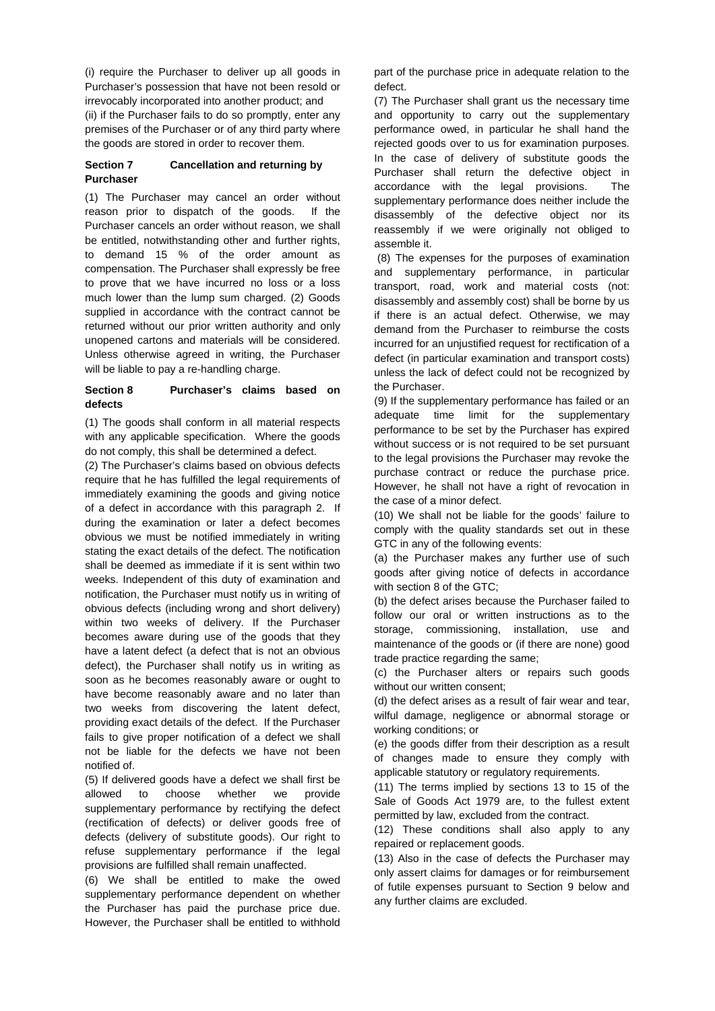(i) require the Purchaser to deliver up all goods in Purchaser's possession that have not been resold or irrevocably incorporated into another product; and (ii) if the Purchaser fails to do so promptly, enter any premises of the Purchaser or of any third party where

# **Section 7 Cancellation and returning by Purchaser**

the goods are stored in order to recover them.

(1) The Purchaser may cancel an order without reason prior to dispatch of the goods. If the Purchaser cancels an order without reason, we shall be entitled, notwithstanding other and further rights, to demand 15 % of the order amount as compensation. The Purchaser shall expressly be free to prove that we have incurred no loss or a loss much lower than the lump sum charged. (2) Goods supplied in accordance with the contract cannot be returned without our prior written authority and only unopened cartons and materials will be considered. Unless otherwise agreed in writing, the Purchaser will be liable to pay a re-handling charge.

### **Section 8 Purchaser's claims based on defects**

(1) The goods shall conform in all material respects with any applicable specification. Where the goods do not comply, this shall be determined a defect.

(2) The Purchaser's claims based on obvious defects require that he has fulfilled the legal requirements of immediately examining the goods and giving notice of a defect in accordance with this paragraph 2. If during the examination or later a defect becomes obvious we must be notified immediately in writing stating the exact details of the defect. The notification shall be deemed as immediate if it is sent within two weeks. Independent of this duty of examination and notification, the Purchaser must notify us in writing of obvious defects (including wrong and short delivery) within two weeks of delivery. If the Purchaser becomes aware during use of the goods that they have a latent defect (a defect that is not an obvious defect), the Purchaser shall notify us in writing as soon as he becomes reasonably aware or ought to have become reasonably aware and no later than two weeks from discovering the latent defect, providing exact details of the defect. If the Purchaser fails to give proper notification of a defect we shall not be liable for the defects we have not been notified of.

(5) If delivered goods have a defect we shall first be allowed to choose whether we provide supplementary performance by rectifying the defect (rectification of defects) or deliver goods free of defects (delivery of substitute goods). Our right to refuse supplementary performance if the legal provisions are fulfilled shall remain unaffected.

(6) We shall be entitled to make the owed supplementary performance dependent on whether the Purchaser has paid the purchase price due. However, the Purchaser shall be entitled to withhold

part of the purchase price in adequate relation to the defect.

(7) The Purchaser shall grant us the necessary time and opportunity to carry out the supplementary performance owed, in particular he shall hand the rejected goods over to us for examination purposes. In the case of delivery of substitute goods the Purchaser shall return the defective object in accordance with the legal provisions. The supplementary performance does neither include the disassembly of the defective object nor its reassembly if we were originally not obliged to assemble it.

 (8) The expenses for the purposes of examination and supplementary performance, in particular transport, road, work and material costs (not: disassembly and assembly cost) shall be borne by us if there is an actual defect. Otherwise, we may demand from the Purchaser to reimburse the costs incurred for an unjustified request for rectification of a defect (in particular examination and transport costs) unless the lack of defect could not be recognized by the Purchaser.

(9) If the supplementary performance has failed or an adequate time limit for the supplementary performance to be set by the Purchaser has expired without success or is not required to be set pursuant to the legal provisions the Purchaser may revoke the purchase contract or reduce the purchase price. However, he shall not have a right of revocation in the case of a minor defect.

(10) We shall not be liable for the goods' failure to comply with the quality standards set out in these GTC in any of the following events:

(a) the Purchaser makes any further use of such goods after giving notice of defects in accordance with section 8 of the GTC:

(b) the defect arises because the Purchaser failed to follow our oral or written instructions as to the storage, commissioning, installation, use and maintenance of the goods or (if there are none) good trade practice regarding the same;

(c) the Purchaser alters or repairs such goods without our written consent;

(d) the defect arises as a result of fair wear and tear, wilful damage, negligence or abnormal storage or working conditions; or

(e) the goods differ from their description as a result of changes made to ensure they comply with applicable statutory or regulatory requirements.

(11) The terms implied by sections 13 to 15 of the Sale of Goods Act 1979 are, to the fullest extent permitted by law, excluded from the contract.

(12) These conditions shall also apply to any repaired or replacement goods.

(13) Also in the case of defects the Purchaser may only assert claims for damages or for reimbursement of futile expenses pursuant to Section 9 below and any further claims are excluded.